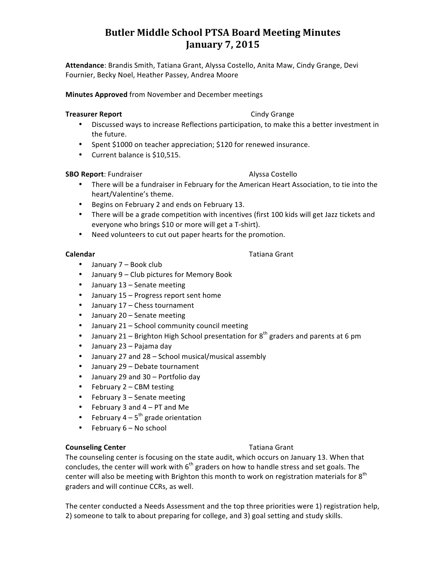# **Butler Middle School PTSA Board Meeting Minutes January 7, 2015**

Attendance: Brandis Smith, Tatiana Grant, Alyssa Costello, Anita Maw, Cindy Grange, Devi Fournier, Becky Noel, Heather Passey, Andrea Moore

**Minutes Approved** from November and December meetings

### **Treasurer Report** Cindy Grange

- Discussed ways to increase Reflections participation, to make this a better investment in the future.
- Spent \$1000 on teacher appreciation; \$120 for renewed insurance.
- Current balance is \$10,515.

### **SBO Report**: Fundraiser **Alyssa Costello**

- There will be a fundraiser in February for the American Heart Association, to tie into the heart/Valentine's theme.
- Begins on February 2 and ends on February 13.
- There will be a grade competition with incentives (first 100 kids will get Jazz tickets and everyone who brings \$10 or more will get a T-shirt).
- Need volunteers to cut out paper hearts for the promotion.

- January 7 Book club
- January 9 Club pictures for Memory Book
- January 13 Senate meeting
- January 15 Progress report sent home
- January 17 Chess tournament
- January 20 Senate meeting
- January  $21$  School community council meeting
- January 21 Brighton High School presentation for  $8^{th}$  graders and parents at 6 pm
- $\bullet$  January 23 Pajama day
- January 27 and 28 School musical/musical assembly
- January 29 Debate tournament
- January 29 and 30 Portfolio day
- February 2 CBM testing
- February  $3 -$  Senate meeting
- February 3 and  $4 PT$  and Me
- February  $4 5$ <sup>th</sup> grade orientation
- February  $6 No$  school

# **Counseling Center** Tatiana Grant

The counseling center is focusing on the state audit, which occurs on January 13. When that concludes, the center will work with  $6<sup>th</sup>$  graders on how to handle stress and set goals. The center will also be meeting with Brighton this month to work on registration materials for  $8^{th}$ graders and will continue CCRs, as well.

The center conducted a Needs Assessment and the top three priorities were 1) registration help, 2) someone to talk to about preparing for college, and 3) goal setting and study skills.

# **Calendar** Tatiana Grant